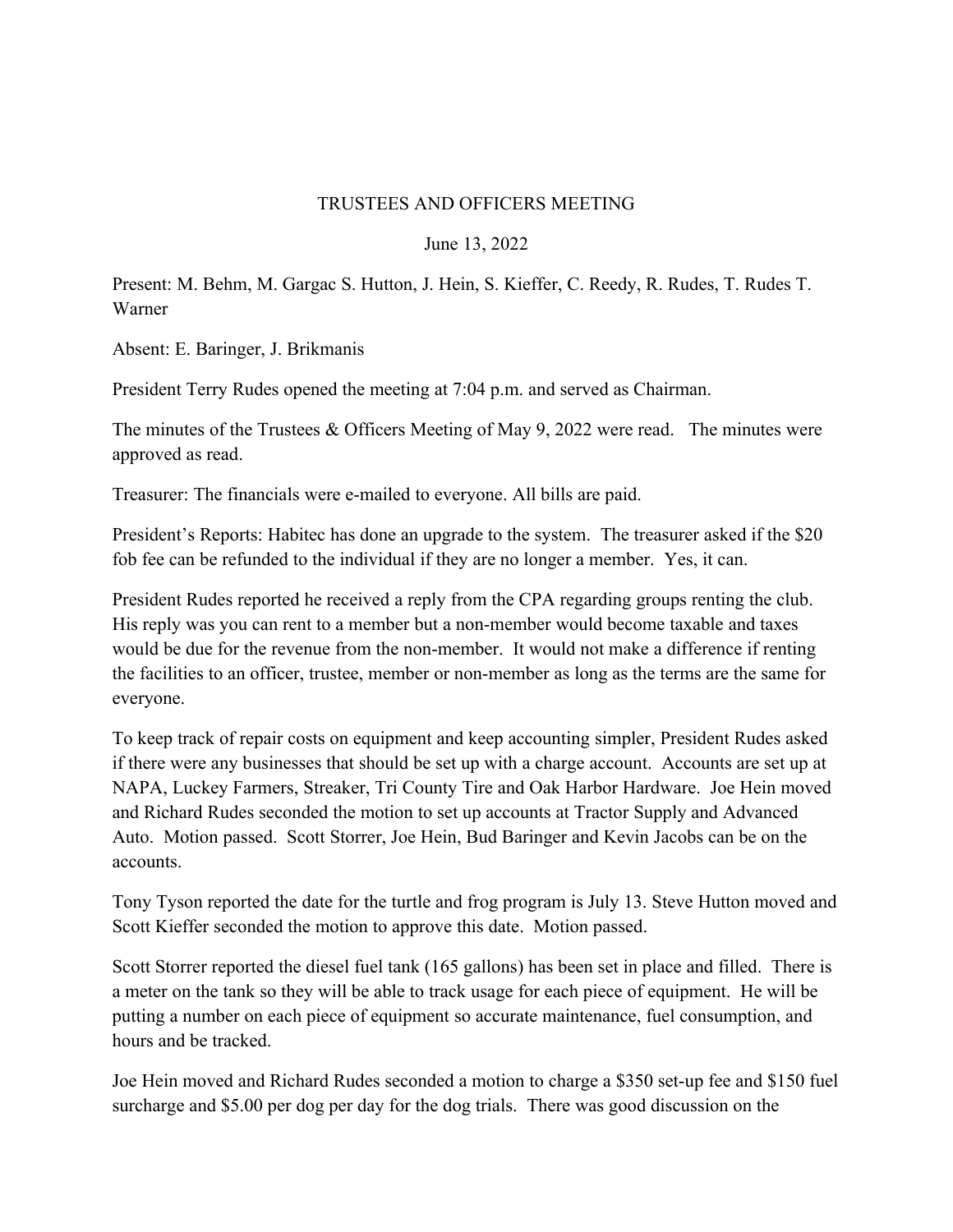## TRUSTEES AND OFFICERS MEETING

## June 13, 2022

Present: M. Behm, M. Gargac S. Hutton, J. Hein, S. Kieffer, C. Reedy, R. Rudes, T. Rudes T. Warner

Absent: E. Baringer, J. Brikmanis

President Terry Rudes opened the meeting at 7:04 p.m. and served as Chairman.

The minutes of the Trustees & Officers Meeting of May 9, 2022 were read. The minutes were approved as read.

Treasurer: The financials were e-mailed to everyone. All bills are paid.

President's Reports: Habitec has done an upgrade to the system. The treasurer asked if the \$20 fob fee can be refunded to the individual if they are no longer a member. Yes, it can.

President Rudes reported he received a reply from the CPA regarding groups renting the club. His reply was you can rent to a member but a non-member would become taxable and taxes would be due for the revenue from the non-member. It would not make a difference if renting the facilities to an officer, trustee, member or non-member as long as the terms are the same for everyone.

To keep track of repair costs on equipment and keep accounting simpler, President Rudes asked if there were any businesses that should be set up with a charge account. Accounts are set up at NAPA, Luckey Farmers, Streaker, Tri County Tire and Oak Harbor Hardware. Joe Hein moved and Richard Rudes seconded the motion to set up accounts at Tractor Supply and Advanced Auto. Motion passed. Scott Storrer, Joe Hein, Bud Baringer and Kevin Jacobs can be on the accounts.

Tony Tyson reported the date for the turtle and frog program is July 13. Steve Hutton moved and Scott Kieffer seconded the motion to approve this date. Motion passed.

Scott Storrer reported the diesel fuel tank (165 gallons) has been set in place and filled. There is a meter on the tank so they will be able to track usage for each piece of equipment. He will be putting a number on each piece of equipment so accurate maintenance, fuel consumption, and hours and be tracked.

Joe Hein moved and Richard Rudes seconded a motion to charge a \$350 set-up fee and \$150 fuel surcharge and \$5.00 per dog per day for the dog trials. There was good discussion on the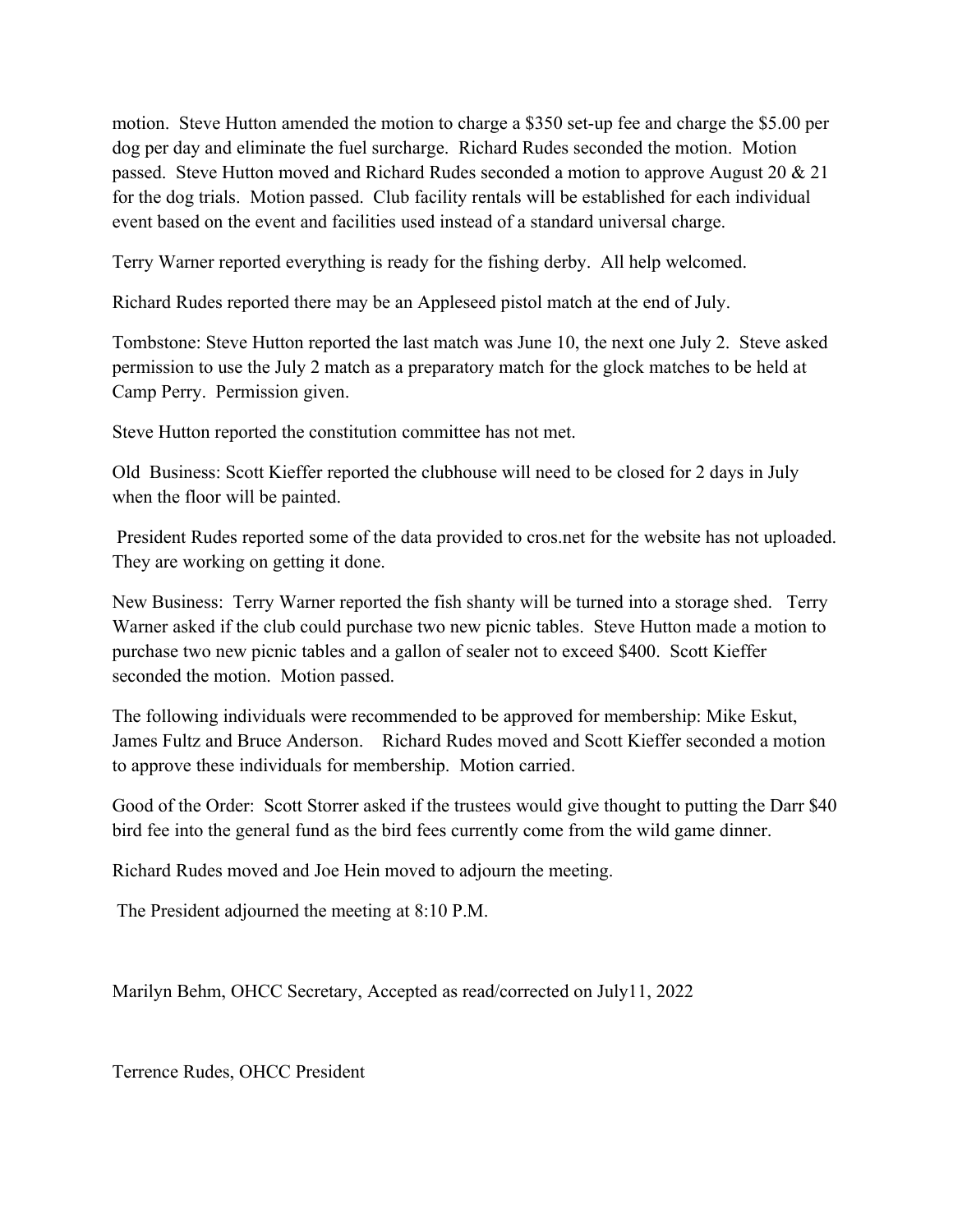motion. Steve Hutton amended the motion to charge a \$350 set-up fee and charge the \$5.00 per dog per day and eliminate the fuel surcharge. Richard Rudes seconded the motion. Motion passed. Steve Hutton moved and Richard Rudes seconded a motion to approve August 20 & 21 for the dog trials. Motion passed. Club facility rentals will be established for each individual event based on the event and facilities used instead of a standard universal charge.

Terry Warner reported everything is ready for the fishing derby. All help welcomed.

Richard Rudes reported there may be an Appleseed pistol match at the end of July.

Tombstone: Steve Hutton reported the last match was June 10, the next one July 2. Steve asked permission to use the July 2 match as a preparatory match for the glock matches to be held at Camp Perry. Permission given.

Steve Hutton reported the constitution committee has not met.

Old Business: Scott Kieffer reported the clubhouse will need to be closed for 2 days in July when the floor will be painted.

 President Rudes reported some of the data provided to cros.net for the website has not uploaded. They are working on getting it done.

New Business: Terry Warner reported the fish shanty will be turned into a storage shed. Terry Warner asked if the club could purchase two new picnic tables. Steve Hutton made a motion to purchase two new picnic tables and a gallon of sealer not to exceed \$400. Scott Kieffer seconded the motion. Motion passed.

The following individuals were recommended to be approved for membership: Mike Eskut, James Fultz and Bruce Anderson. Richard Rudes moved and Scott Kieffer seconded a motion to approve these individuals for membership. Motion carried.

Good of the Order: Scott Storrer asked if the trustees would give thought to putting the Darr \$40 bird fee into the general fund as the bird fees currently come from the wild game dinner.

Richard Rudes moved and Joe Hein moved to adjourn the meeting.

The President adjourned the meeting at 8:10 P.M.

Marilyn Behm, OHCC Secretary, Accepted as read/corrected on July11, 2022

Terrence Rudes, OHCC President